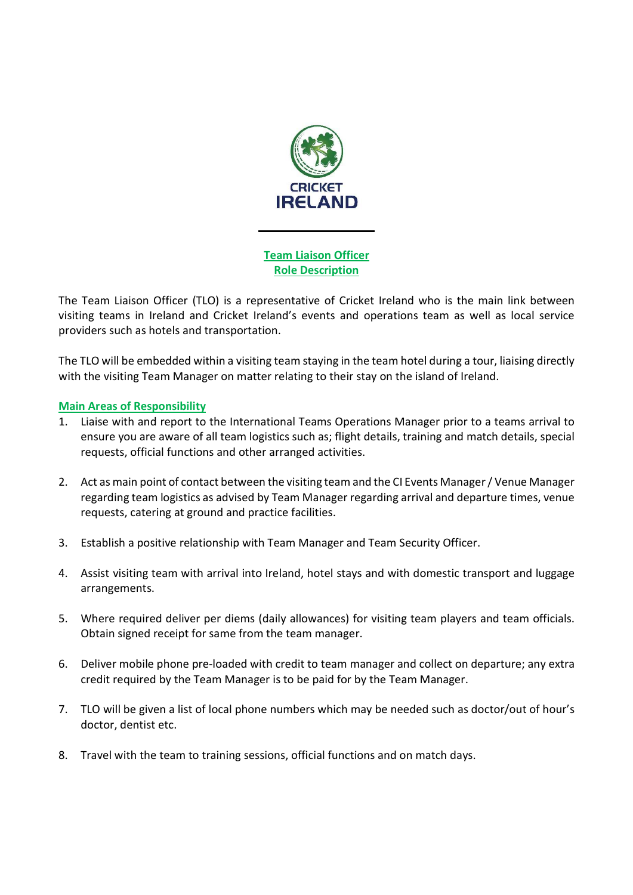

Team Liaison Officer Role Description

The Team Liaison Officer (TLO) is a representative of Cricket Ireland who is the main link between visiting teams in Ireland and Cricket Ireland's events and operations team as well as local service providers such as hotels and transportation.

The TLO will be embedded within a visiting team staying in the team hotel during a tour, liaising directly with the visiting Team Manager on matter relating to their stay on the island of Ireland.

# Main Areas of Responsibility

- 1. Liaise with and report to the International Teams Operations Manager prior to a teams arrival to ensure you are aware of all team logistics such as; flight details, training and match details, special requests, official functions and other arranged activities.
- 2. Act as main point of contact between the visiting team and the CI Events Manager / Venue Manager regarding team logistics as advised by Team Manager regarding arrival and departure times, venue requests, catering at ground and practice facilities.
- 3. Establish a positive relationship with Team Manager and Team Security Officer.
- 4. Assist visiting team with arrival into Ireland, hotel stays and with domestic transport and luggage arrangements.
- 5. Where required deliver per diems (daily allowances) for visiting team players and team officials. Obtain signed receipt for same from the team manager.
- 6. Deliver mobile phone pre-loaded with credit to team manager and collect on departure; any extra credit required by the Team Manager is to be paid for by the Team Manager.
- 7. TLO will be given a list of local phone numbers which may be needed such as doctor/out of hour's doctor, dentist etc.
- 8. Travel with the team to training sessions, official functions and on match days.